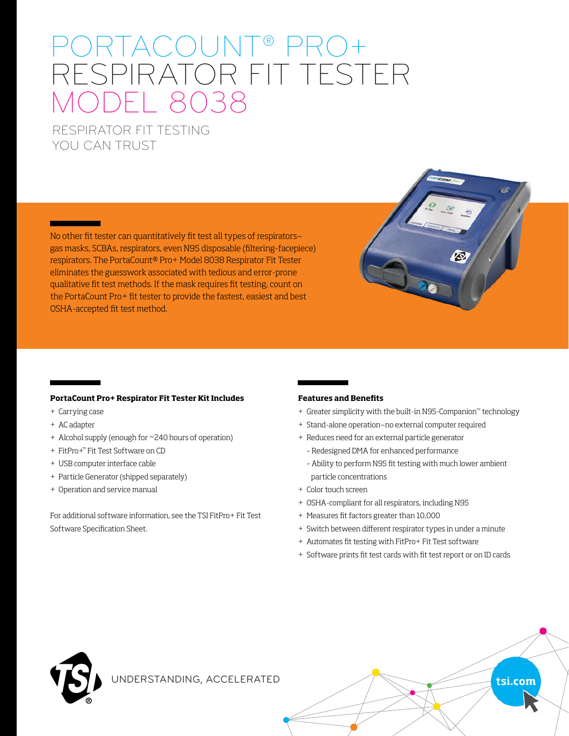# PORTACOUNT® PRO+ RESPIRATOR FIT TESTER MODEL 8038

RESPIRATOR FIT TESTING YOU CAN TRUST

No other fit tester can quantitatively fit test all types of respirators gas masks, SCBAs, respirators, even N95 disposable (filtering-facepiece) respirators. The PortaCount® Pro+ Model 8038 Respirator Fit Tester eliminates the guesswork associated with tedious and error-prone qualitative fit test methods. If the mask requires fit testing, count on the PortaCount Pro+ fit tester to provide the fastest, easiest and best OSHA-accepted fit test method.

# **PortaCount Pro+ Respirator Fit Tester Kit Includes**

- + Carrying case
- + AC adapter
- + Alcohol supply (enough for ~240 hours of operation)
- + FitPro+™ Fit Test Software on CD
- + USB computer interface cable
- + Particle Generator (shipped separately)
- + Operation and service manual

For additional software information, see the TSI FitPro+ Fit Test Software Specification Sheet.

# **Features and Benefits**

- + Greater simplicity with the built-in N95-Companion™ technology
- + Stand-alone operation—no external computer required
- + Reduces need for an external particle generator
	- Redesigned DMA for enhanced performance
	- Ability to perform N95 fit testing with much lower ambient particle concentrations
- + Color touch screen
- + OSHA-compliant for all respirators, including N95
- + Measures fit factors greater than 10,000
- + Switch between different respirator types in under a minute
- + Automates fit testing with FitPro+ Fit Test software
- + Software prints fit test cards with fit test report or on ID cards

tsi.com



UNDERSTANDING, ACCELERATED